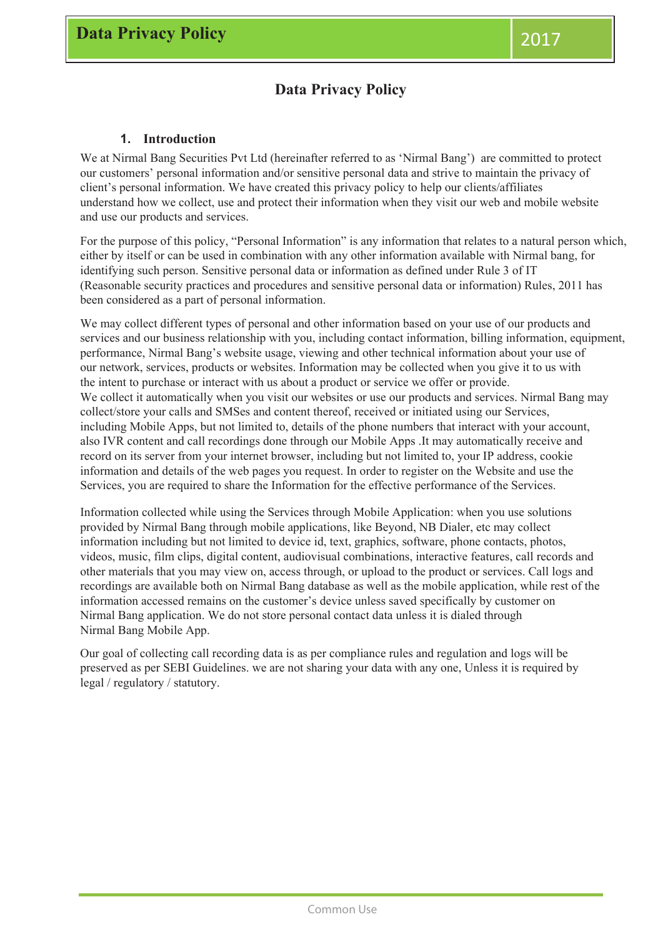## **Data Privacy Policy**

### **1. Introduction**

We at Nirmal Bang Securities Pvt Ltd (hereinafter referred to as 'Nirmal Bang') are committed to protect our customers' personal information and/or sensitive personal data and strive to maintain the privacy of client's personal information. We have created this privacy policy to help our clients/affiliates understand how we collect, use and protect their information when they visit our web and mobile website and use our products and services.

For the purpose of this policy, "Personal Information" is any information that relates to a natural person which, either by itself or can be used in combination with any other information available with Nirmal bang, for identifying such person. Sensitive personal data or information as defined under Rule 3 of IT (Reasonable security practices and procedures and sensitive personal data or information) Rules, 2011 has been considered as a part of personal information.

We may collect different types of personal and other information based on your use of our products and services and our business relationship with you, including contact information, billing information, equipment, performance, Nirmal Bang's website usage, viewing and other technical information about your use of our network, services, products or websites. Information may be collected when you give it to us with the intent to purchase or interact with us about a product or service we offer or provide. We collect it automatically when you visit our websites or use our products and services. Nirmal Bang may collect/store your calls and SMSes and content thereof, received or initiated using our Services, including Mobile Apps, but not limited to, details of the phone numbers that interact with your account, also IVR content and call recordings done through our Mobile Apps .It may automatically receive and record on its server from your internet browser, including but not limited to, your IP address, cookie information and details of the web pages you request. In order to register on the Website and use the Services, you are required to share the Information for the effective performance of the Services.

Information collected while using the Services through Mobile Application: when you use solutions provided by Nirmal Bang through mobile applications, like Beyond, NB Dialer, etc may collect information including but not limited to device id, text, graphics, software, phone contacts, photos, videos, music, film clips, digital content, audiovisual combinations, interactive features, call records and other materials that you may view on, access through, or upload to the product or services. Call logs and recordings are available both on Nirmal Bang database as well as the mobile application, while rest of the information accessed remains on the customer's device unless saved specifically by customer on Nirmal Bang application. We do not store personal contact data unless it is dialed through Nirmal Bang Mobile App.

Our goal of collecting call recording data is as per compliance rules and regulation and logs will be preserved as per SEBI Guidelines. we are not sharing your data with any one, Unless it is required by legal / regulatory / statutory.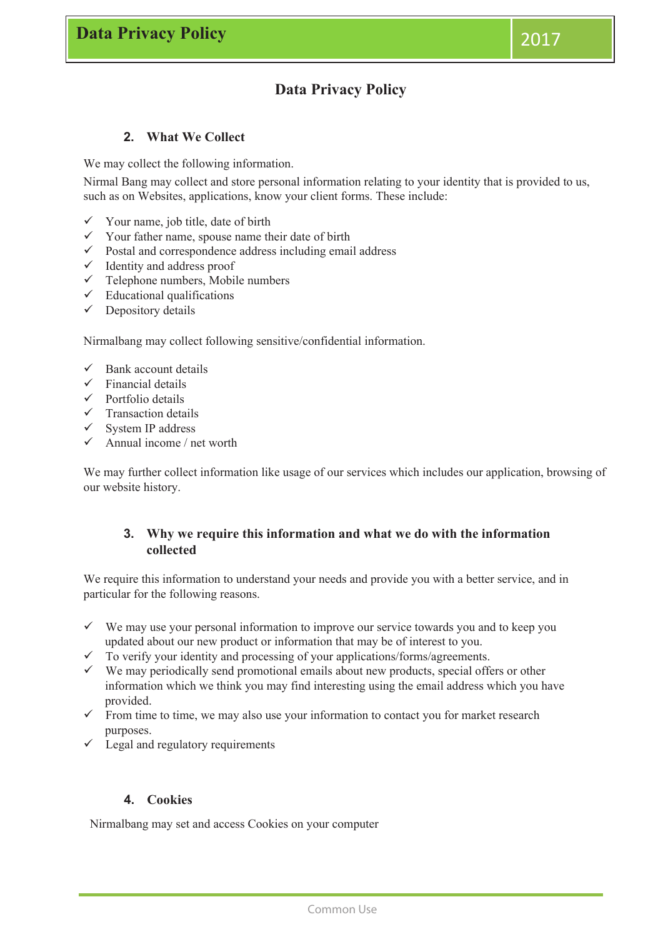# **Data Privacy Policy**

### **2. What We Collect**

We may collect the following information.

Nirmal Bang may collect and store personal information relating to your identity that is provided to us, such as on Websites, applications, know your client forms. These include:

- $\checkmark$  Your name, job title, date of birth
- $\checkmark$  Your father name, spouse name their date of birth
- $\checkmark$  Postal and correspondence address including email address
- $\checkmark$  Identity and address proof
- $\checkmark$  Telephone numbers, Mobile numbers
- $\checkmark$  Educational qualifications
- $\checkmark$  Depository details

Nirmalbang may collect following sensitive/confidential information.

- Bank account details
- Financial details
- $\checkmark$  Portfolio details
- $\checkmark$  Transaction details
- System IP address
- Annual income / net worth

We may further collect information like usage of our services which includes our application, browsing of our website history.

### **3. Why we require this information and what we do with the information collected**

We require this information to understand your needs and provide you with a better service, and in particular for the following reasons.

- $\checkmark$  We may use your personal information to improve our service towards you and to keep you updated about our new product or information that may be of interest to you.
- To verify your identity and processing of your applications/forms/agreements.
- $\checkmark$  We may periodically send promotional emails about new products, special offers or other information which we think you may find interesting using the email address which you have provided.
- $\checkmark$  From time to time, we may also use your information to contact you for market research purposes.
- $\checkmark$  Legal and regulatory requirements

### **4. Cookies**

Nirmalbang may set and access Cookies on your computer